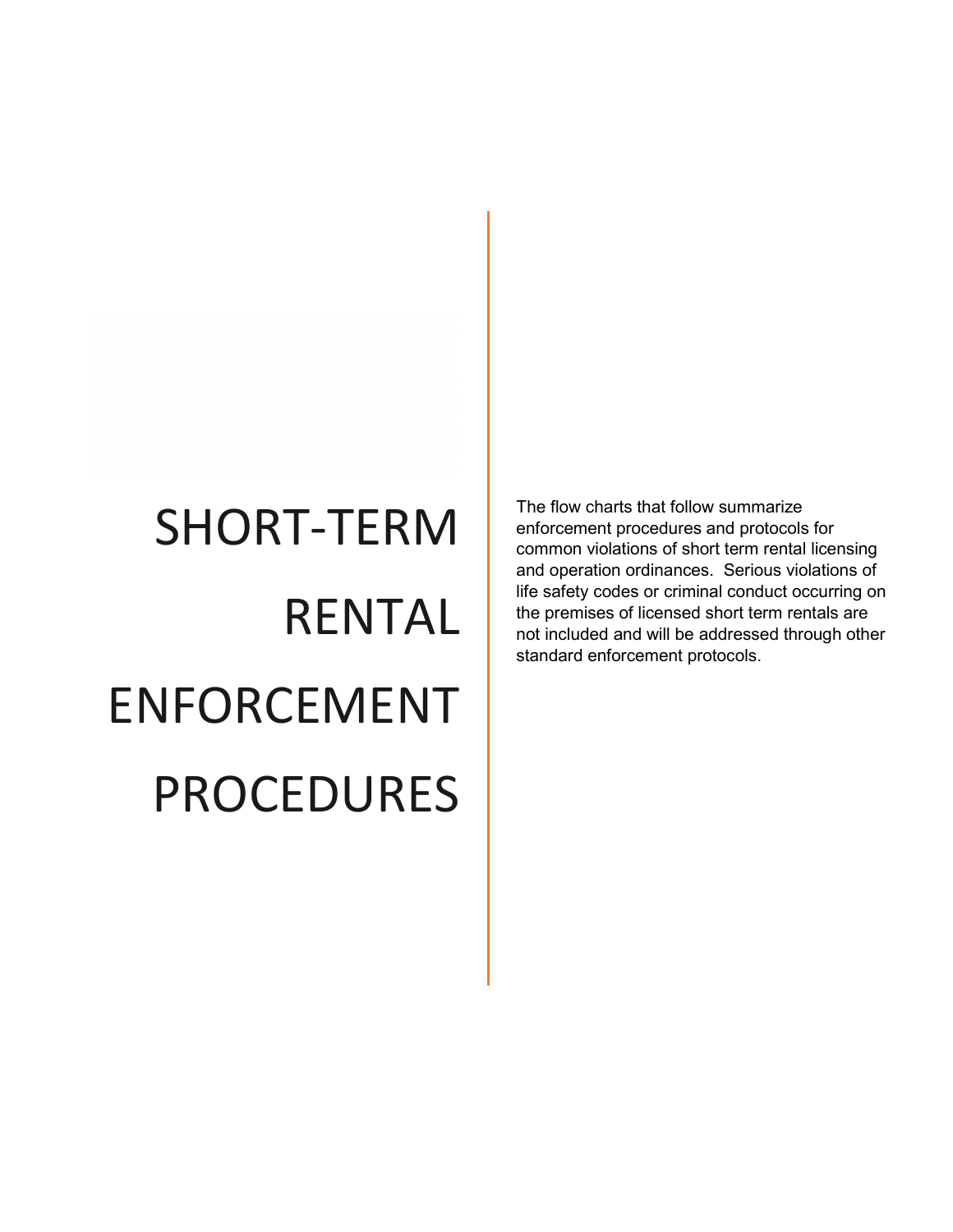## SHORT-TERM RENTAL ENFORCEMENT PROCEDURES

The flow charts that follow summarize enforcement procedures and protocols for common violations of short term rental licensing and operation ordinances. Serious violations of life safety codes or criminal conduct occurring on the premises of licensed short term rentals are not included and will be addressed through other standard enforcement protocols.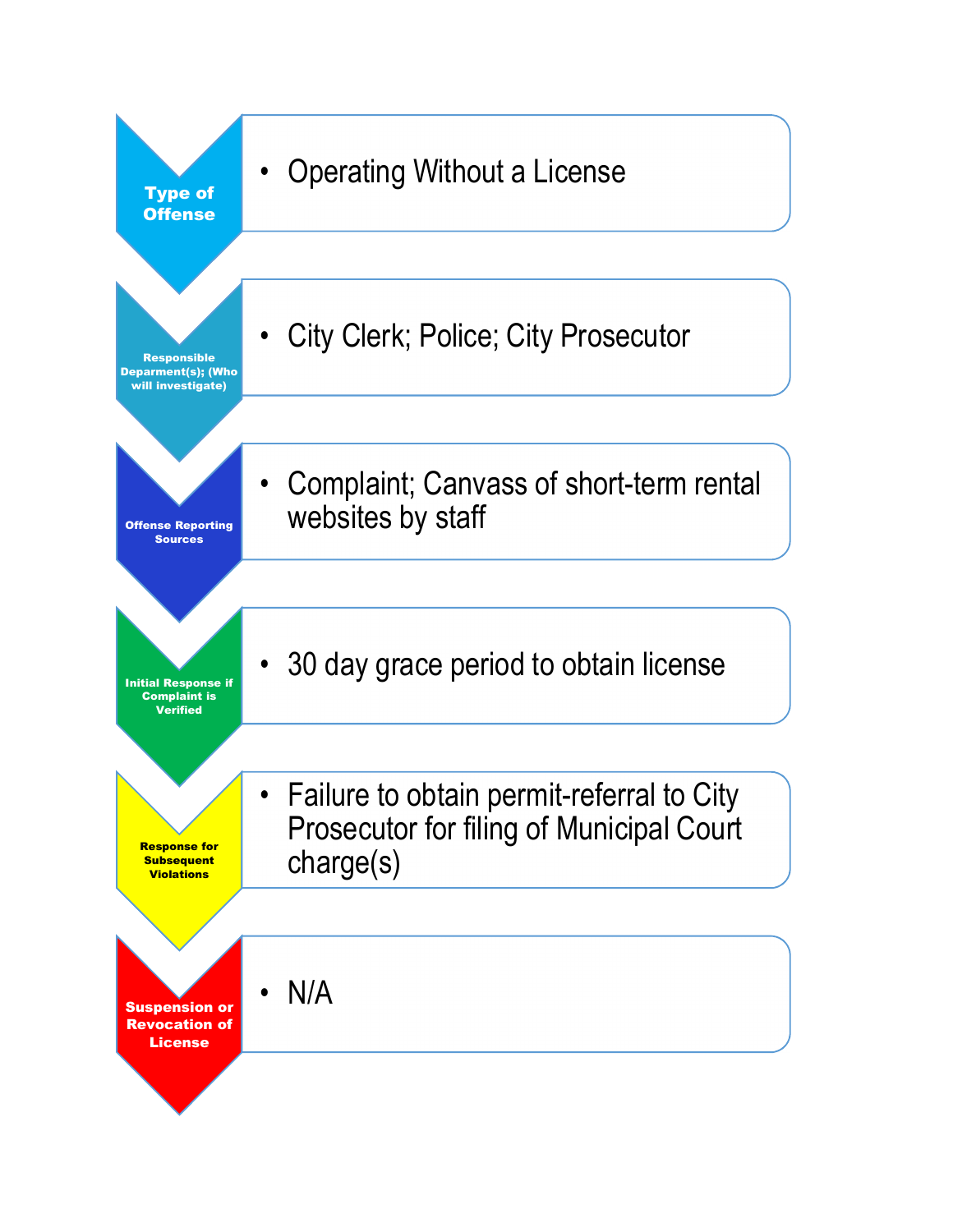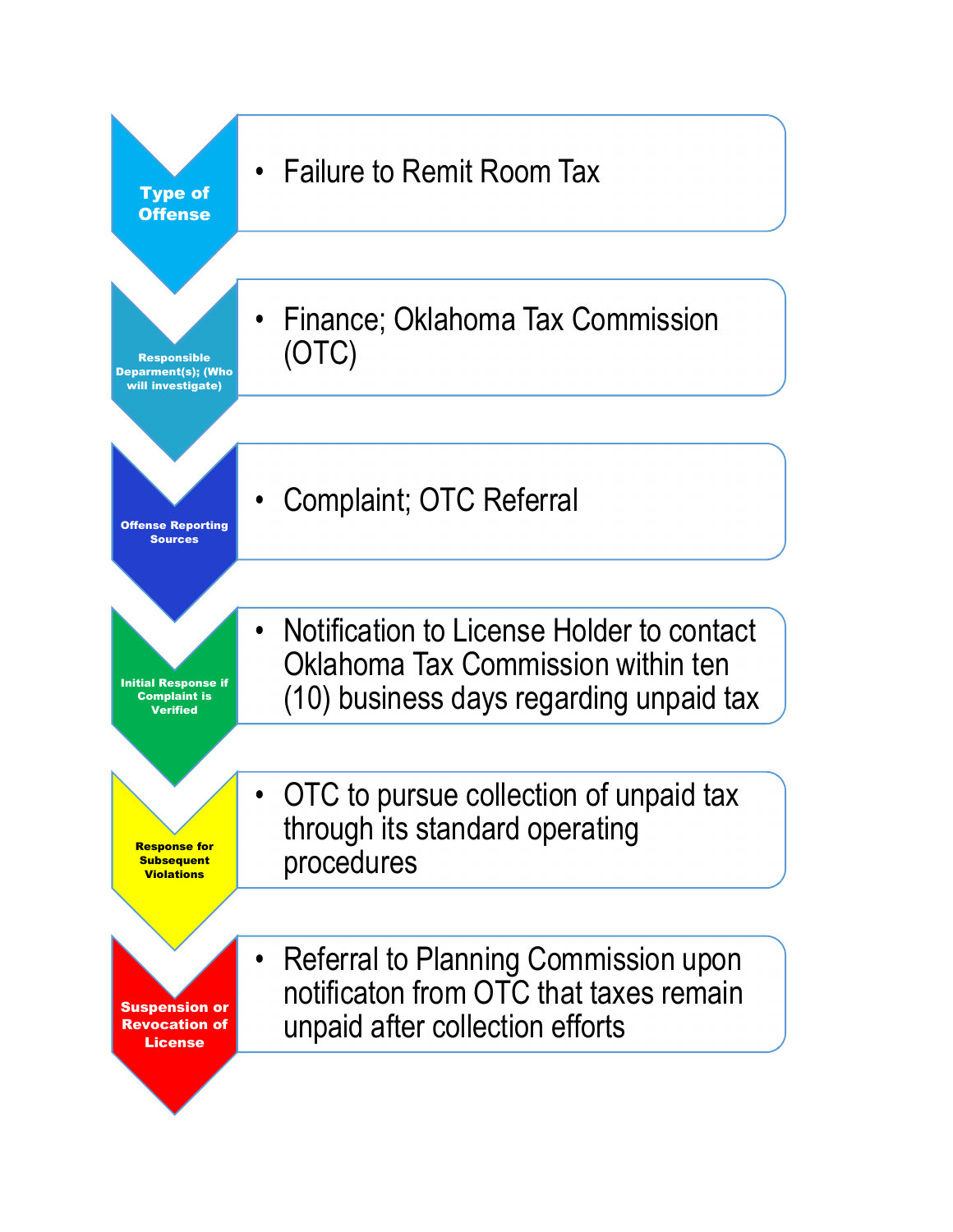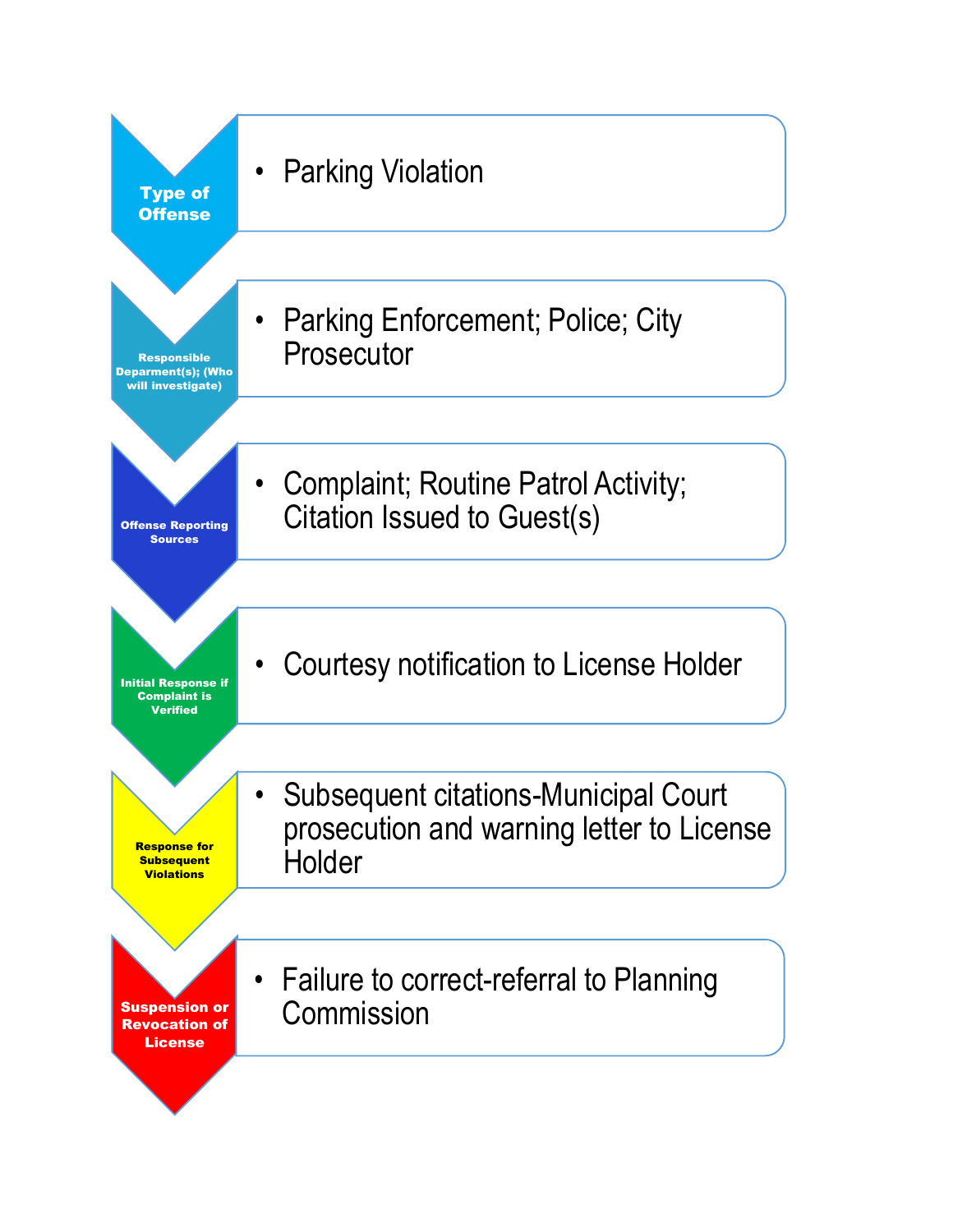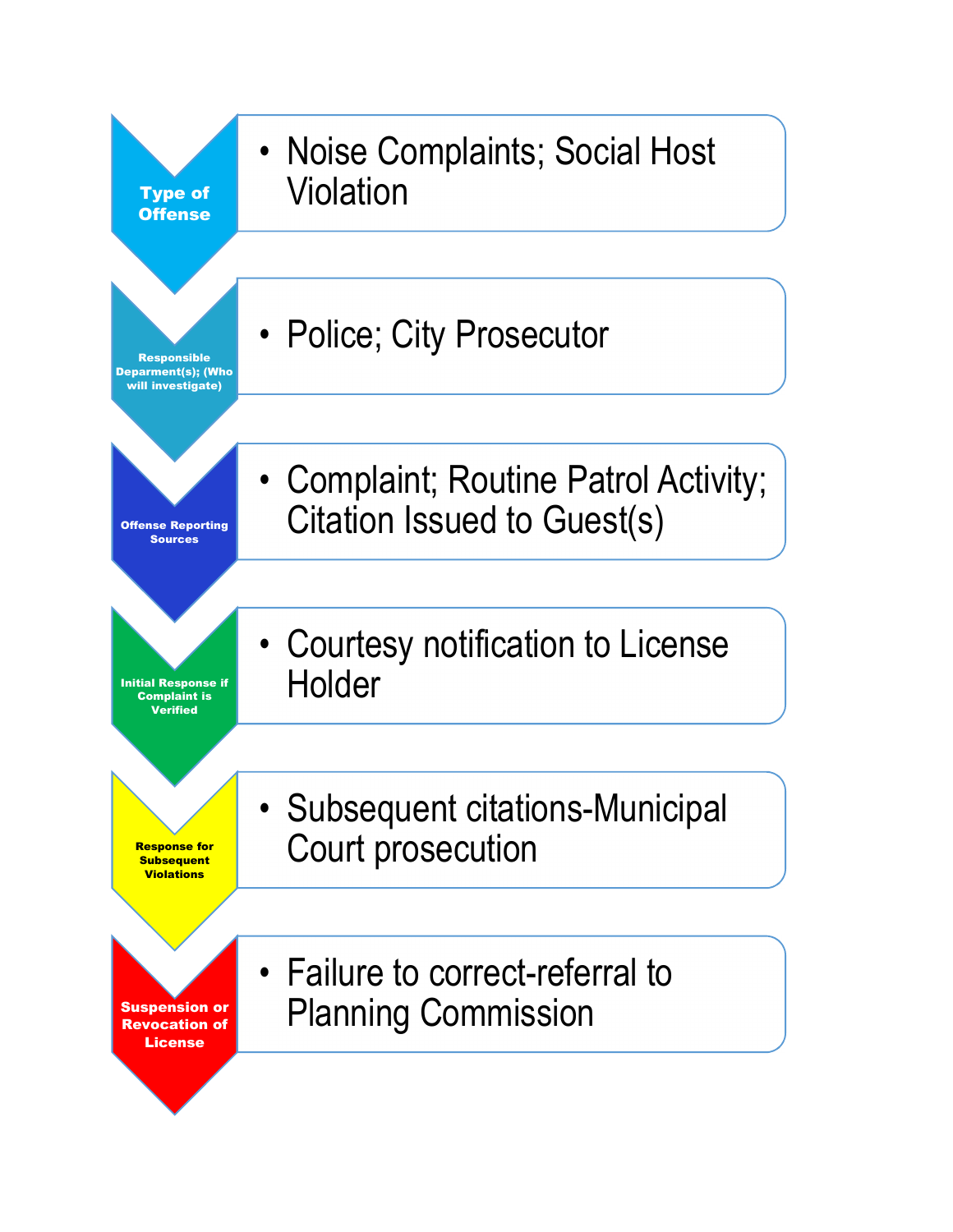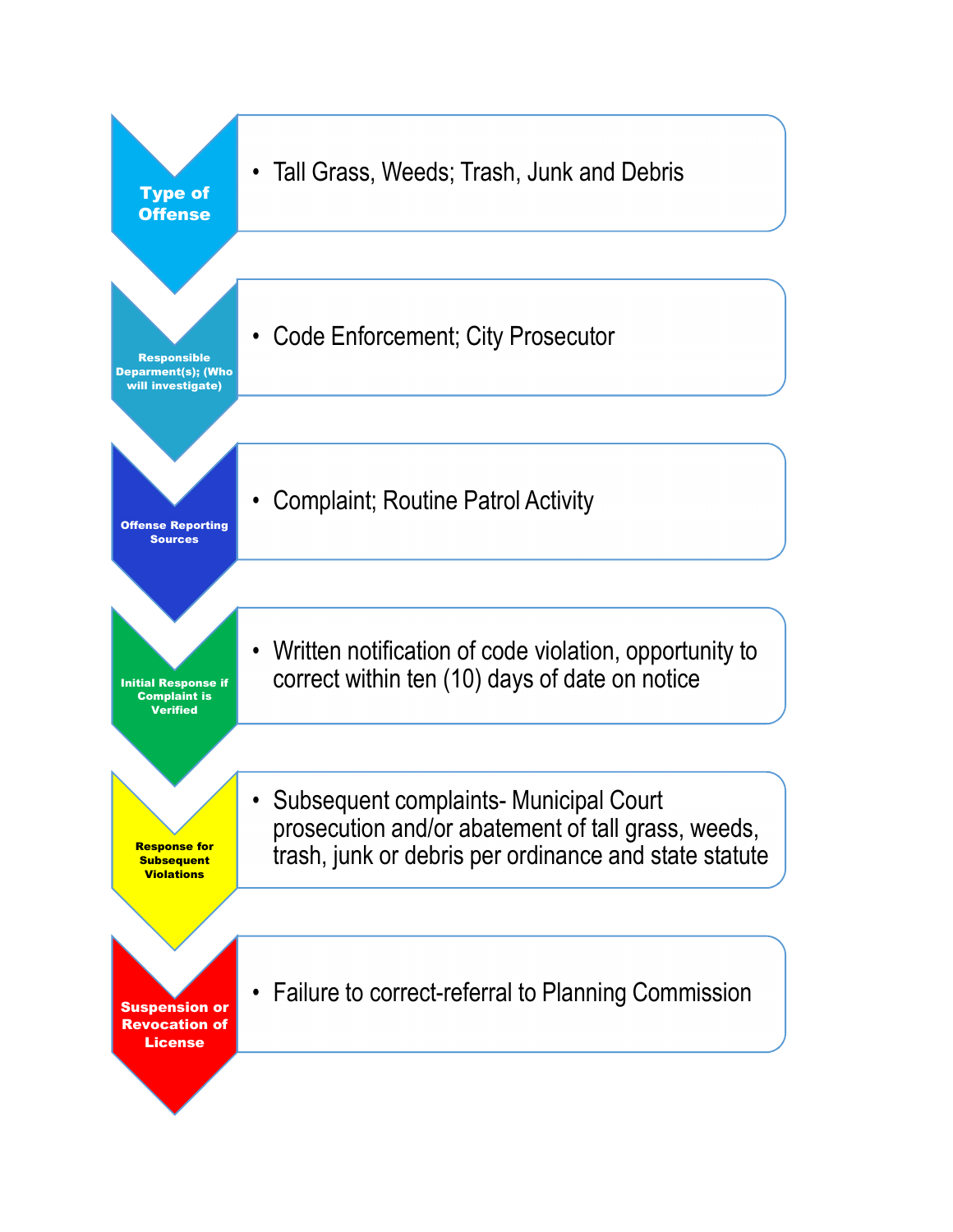